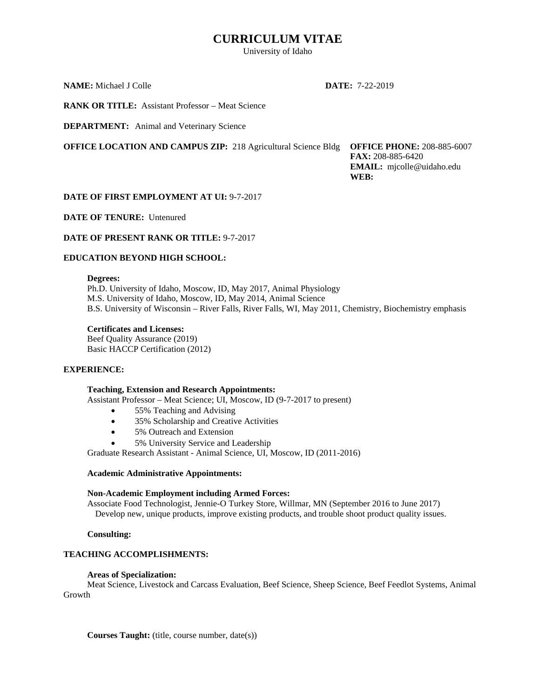# **CURRICULUM VITAE**

University of Idaho

**NAME:** Michael J Colle **DATE:** 7-22-2019

**RANK OR TITLE:** Assistant Professor – Meat Science

**DEPARTMENT:** Animal and Veterinary Science

**OFFICE LOCATION AND CAMPUS ZIP:** 218 Agricultural Science Bldg **OFFICE PHONE:** 208-885-6007

 **FAX:** 208-885-6420  **EMAIL:** mjcolle@uidaho.edu  **WEB:** 

## **DATE OF FIRST EMPLOYMENT AT UI:** 9-7-2017

**DATE OF TENURE:** Untenured

## **DATE OF PRESENT RANK OR TITLE:** 9-7-2017

## **EDUCATION BEYOND HIGH SCHOOL:**

### **Degrees:**

 Ph.D. University of Idaho, Moscow, ID, May 2017, Animal Physiology M.S. University of Idaho, Moscow, ID, May 2014, Animal Science B.S. University of Wisconsin – River Falls, River Falls, WI, May 2011, Chemistry, Biochemistry emphasis

## **Certificates and Licenses:**

Beef Quality Assurance (2019) Basic HACCP Certification (2012)

## **EXPERIENCE:**

## **Teaching, Extension and Research Appointments:**

Assistant Professor – Meat Science; UI, Moscow, ID (9-7-2017 to present)

- 55% Teaching and Advising
- 35% Scholarship and Creative Activities
- 5% Outreach and Extension
- 5% University Service and Leadership

Graduate Research Assistant - Animal Science, UI, Moscow, ID (2011-2016)

## **Academic Administrative Appointments:**

## **Non-Academic Employment including Armed Forces:**

Associate Food Technologist, Jennie-O Turkey Store, Willmar, MN (September 2016 to June 2017) Develop new, unique products, improve existing products, and trouble shoot product quality issues.

 **Consulting:** 

## **TEACHING ACCOMPLISHMENTS:**

## **Areas of Specialization:**

Meat Science, Livestock and Carcass Evaluation, Beef Science, Sheep Science, Beef Feedlot Systems, Animal Growth

**Courses Taught:** (title, course number, date(s))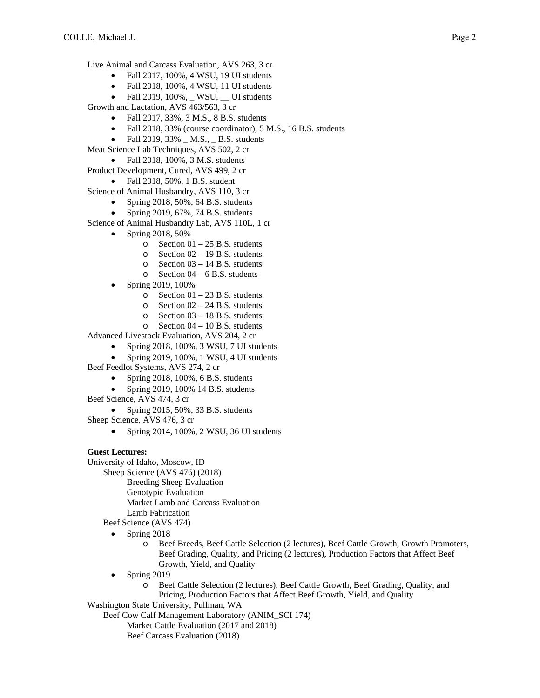Live Animal and Carcass Evaluation, AVS 263, 3 cr

- Fall 2017, 100%, 4 WSU, 19 UI students
- Fall 2018, 100%, 4 WSU, 11 UI students
- $\bullet$  Fall 2019, 100%, \_ WSU, \_ UI students

Growth and Lactation, AVS 463/563, 3 cr

- Fall 2017, 33%, 3 M.S., 8 B.S. students
- Fall 2018, 33% (course coordinator), 5 M.S., 16 B.S. students
- Fall 2019,  $33\%$   $M.S.,$   $B.S.$  students
- Meat Science Lab Techniques, AVS 502, 2 cr
	- Fall 2018, 100%, 3 M.S. students
- Product Development, Cured, AVS 499, 2 cr
	- Fall 2018, 50%, 1 B.S. student

Science of Animal Husbandry, AVS 110, 3 cr

- Spring 2018,  $50\%$ , 64 B.S. students
- Spring 2019, 67%, 74 B.S. students

Science of Animal Husbandry Lab, AVS 110L, 1 cr

- Spring 2018, 50%
	- $\circ$  Section 01 25 B.S. students
	- o Section 02 19 B.S. students
	- o Section 03 14 B.S. students
	- $\circ$  Section 04 6 B.S. students
- Spring 2019, 100%
	- o Section 01 23 B.S. students
	- $\degree$  Section 02 24 B.S. students
	- o Section 03 18 B.S. students
	- o Section 04 10 B.S. students

Advanced Livestock Evaluation, AVS 204, 2 cr

- Spring 2018, 100%, 3 WSU, 7 UI students
- Spring 2019, 100%, 1 WSU, 4 UI students
- Beef Feedlot Systems, AVS 274, 2 cr
	- Spring 2018, 100%, 6 B.S. students
	- Spring 2019, 100% 14 B.S. students
- Beef Science, AVS 474, 3 cr
	- Spring  $2015, 50\%$ , 33 B.S. students

Sheep Science, AVS 476, 3 cr

Spring 2014, 100%, 2 WSU, 36 UI students

## **Guest Lectures:**

University of Idaho, Moscow, ID

Sheep Science (AVS 476) (2018)

Breeding Sheep Evaluation

Genotypic Evaluation

Market Lamb and Carcass Evaluation

Lamb Fabrication

Beef Science (AVS 474)

- Spring 2018
	- Beef Breeds, Beef Cattle Selection (2 lectures), Beef Cattle Growth, Growth Promoters, Beef Grading, Quality, and Pricing (2 lectures), Production Factors that Affect Beef Growth, Yield, and Quality
- Spring 2019
	- o Beef Cattle Selection (2 lectures), Beef Cattle Growth, Beef Grading, Quality, and Pricing, Production Factors that Affect Beef Growth, Yield, and Quality

Washington State University, Pullman, WA

Beef Cow Calf Management Laboratory (ANIM\_SCI 174)

Market Cattle Evaluation (2017 and 2018)

Beef Carcass Evaluation (2018)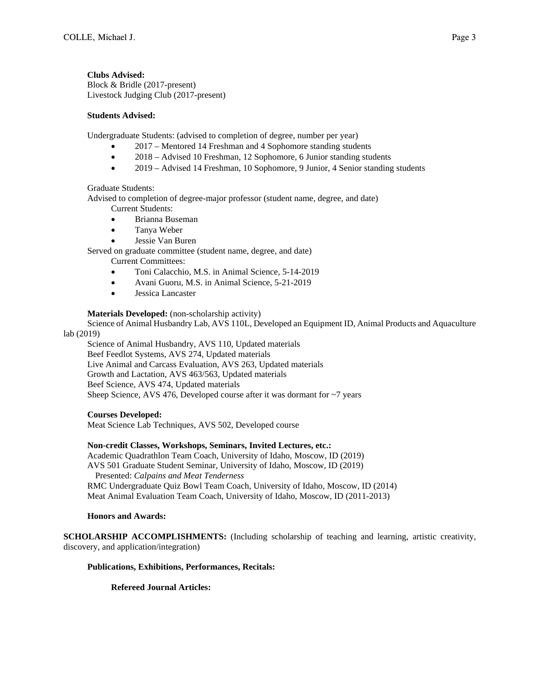**Clubs Advised:**  Block & Bridle (2017-present) Livestock Judging Club (2017-present)

## **Students Advised:**

Undergraduate Students: (advised to completion of degree, number per year)

- 2017 Mentored 14 Freshman and 4 Sophomore standing students
- 2018 Advised 10 Freshman, 12 Sophomore, 6 Junior standing students
- 2019 Advised 14 Freshman, 10 Sophomore, 9 Junior, 4 Senior standing students

## Graduate Students:

Advised to completion of degree-major professor (student name, degree, and date)

Current Students:

- Brianna Buseman
- Tanya Weber
- Jessie Van Buren

Served on graduate committee (student name, degree, and date)

Current Committees:

- Toni Calacchio, M.S. in Animal Science, 5-14-2019
- Avani Guoru, M.S. in Animal Science, 5-21-2019
- Jessica Lancaster

## **Materials Developed:** (non-scholarship activity)

 Science of Animal Husbandry Lab, AVS 110L, Developed an Equipment ID, Animal Products and Aquaculture lab (2019)

 Science of Animal Husbandry, AVS 110, Updated materials Beef Feedlot Systems, AVS 274, Updated materials Live Animal and Carcass Evaluation, AVS 263, Updated materials Growth and Lactation, AVS 463/563, Updated materials Beef Science, AVS 474, Updated materials Sheep Science, AVS 476, Developed course after it was dormant for ~7 years

## **Courses Developed:**

Meat Science Lab Techniques, AVS 502, Developed course

## **Non-credit Classes, Workshops, Seminars, Invited Lectures, etc.:**

Academic Quadrathlon Team Coach, University of Idaho, Moscow, ID (2019) AVS 501 Graduate Student Seminar, University of Idaho, Moscow, ID (2019) Presented: *Calpains and Meat Tenderness*  RMC Undergraduate Quiz Bowl Team Coach, University of Idaho, Moscow, ID (2014) Meat Animal Evaluation Team Coach, University of Idaho, Moscow, ID (2011-2013)

## **Honors and Awards:**

**SCHOLARSHIP ACCOMPLISHMENTS:** (Including scholarship of teaching and learning, artistic creativity, discovery, and application/integration)

## **Publications, Exhibitions, Performances, Recitals:**

 **Refereed Journal Articles:**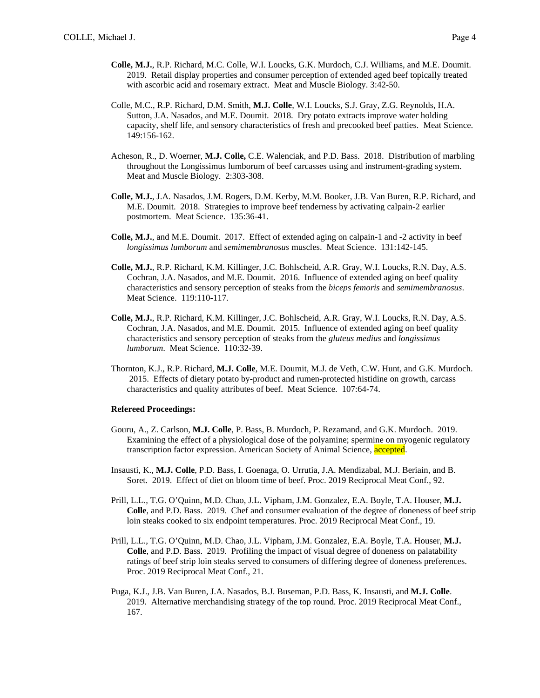- **Colle, M.J.**, R.P. Richard, M.C. Colle, W.I. Loucks, G.K. Murdoch, C.J. Williams, and M.E. Doumit. 2019. Retail display properties and consumer perception of extended aged beef topically treated with ascorbic acid and rosemary extract. Meat and Muscle Biology. 3:42-50.
- Colle, M.C., R.P. Richard, D.M. Smith, **M.J. Colle**, W.I. Loucks, S.J. Gray, Z.G. Reynolds, H.A. Sutton, J.A. Nasados, and M.E. Doumit. 2018. Dry potato extracts improve water holding capacity, shelf life, and sensory characteristics of fresh and precooked beef patties. Meat Science. 149:156-162.
- Acheson, R., D. Woerner, **M.J. Colle,** C.E. Walenciak, and P.D. Bass. 2018. Distribution of marbling throughout the Longissimus lumborum of beef carcasses using and instrument-grading system. Meat and Muscle Biology. 2:303-308.
- **Colle, M.J.**, J.A. Nasados, J.M. Rogers, D.M. Kerby, M.M. Booker, J.B. Van Buren, R.P. Richard, and M.E. Doumit. 2018. Strategies to improve beef tenderness by activating calpain-2 earlier postmortem. Meat Science. 135:36-41.
- **Colle, M.J.**, and M.E. Doumit. 2017. Effect of extended aging on calpain-1 and -2 activity in beef *longissimus lumborum* and *semimembranosus* muscles. Meat Science. 131:142-145.
- **Colle, M.J.**, R.P. Richard, K.M. Killinger, J.C. Bohlscheid, A.R. Gray, W.I. Loucks, R.N. Day, A.S. Cochran, J.A. Nasados, and M.E. Doumit. 2016. Influence of extended aging on beef quality characteristics and sensory perception of steaks from the *biceps femoris* and *semimembranosus*. Meat Science. 119:110-117.
- **Colle, M.J.**, R.P. Richard, K.M. Killinger, J.C. Bohlscheid, A.R. Gray, W.I. Loucks, R.N. Day, A.S. Cochran, J.A. Nasados, and M.E. Doumit. 2015. Influence of extended aging on beef quality characteristics and sensory perception of steaks from the *gluteus medius* and *longissimus lumborum*. Meat Science. 110:32-39.
- Thornton, K.J., R.P. Richard, **M.J. Colle**, M.E. Doumit, M.J. de Veth, C.W. Hunt, and G.K. Murdoch. 2015. Effects of dietary potato by-product and rumen-protected histidine on growth, carcass characteristics and quality attributes of beef. Meat Science. 107:64-74.

#### **Refereed Proceedings:**

- Gouru, A., Z. Carlson, **M.J. Colle**, P. Bass, B. Murdoch, P. Rezamand, and G.K. Murdoch. 2019. Examining the effect of a physiological dose of the polyamine; spermine on myogenic regulatory transcription factor expression. American Society of Animal Science, accepted.
- Insausti, K., **M.J. Colle**, P.D. Bass, I. Goenaga, O. Urrutia, J.A. Mendizabal, M.J. Beriain, and B. Soret. 2019. Effect of diet on bloom time of beef. Proc. 2019 Reciprocal Meat Conf., 92.
- Prill, L.L., T.G. O'Quinn, M.D. Chao, J.L. Vipham, J.M. Gonzalez, E.A. Boyle, T.A. Houser, **M.J. Colle**, and P.D. Bass. 2019. Chef and consumer evaluation of the degree of doneness of beef strip loin steaks cooked to six endpoint temperatures. Proc. 2019 Reciprocal Meat Conf., 19.
- Prill, L.L., T.G. O'Quinn, M.D. Chao, J.L. Vipham, J.M. Gonzalez, E.A. Boyle, T.A. Houser, **M.J. Colle**, and P.D. Bass. 2019. Profiling the impact of visual degree of doneness on palatability ratings of beef strip loin steaks served to consumers of differing degree of doneness preferences. Proc. 2019 Reciprocal Meat Conf., 21.
- Puga, K.J., J.B. Van Buren, J.A. Nasados, B.J. Buseman, P.D. Bass, K. Insausti, and **M.J. Colle**. 2019. Alternative merchandising strategy of the top round. Proc. 2019 Reciprocal Meat Conf., 167.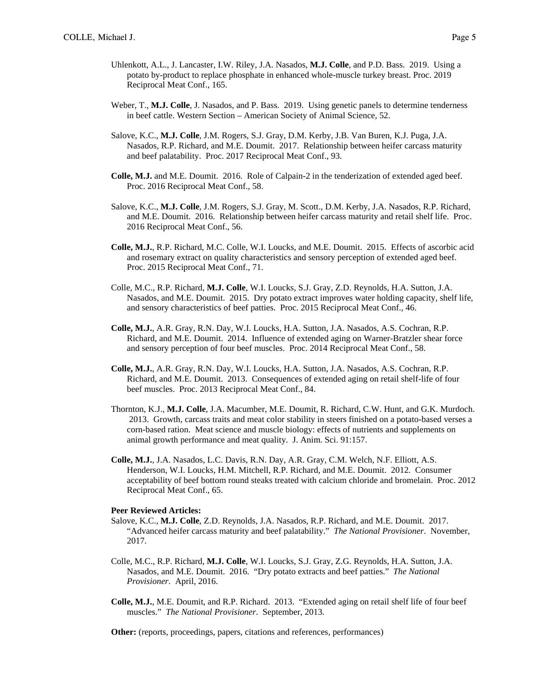- Uhlenkott, A.L., J. Lancaster, I.W. Riley, J.A. Nasados, **M.J. Colle**, and P.D. Bass. 2019. Using a potato by-product to replace phosphate in enhanced whole-muscle turkey breast. Proc. 2019 Reciprocal Meat Conf., 165.
- Weber, T., **M.J. Colle**, J. Nasados, and P. Bass. 2019. Using genetic panels to determine tenderness in beef cattle. Western Section – American Society of Animal Science, 52.
- Salove, K.C., **M.J. Colle**, J.M. Rogers, S.J. Gray, D.M. Kerby, J.B. Van Buren, K.J. Puga, J.A. Nasados, R.P. Richard, and M.E. Doumit. 2017. Relationship between heifer carcass maturity and beef palatability. Proc. 2017 Reciprocal Meat Conf., 93.
- **Colle, M.J.** and M.E. Doumit. 2016. Role of Calpain-2 in the tenderization of extended aged beef. Proc. 2016 Reciprocal Meat Conf., 58.
- Salove, K.C., **M.J. Colle**, J.M. Rogers, S.J. Gray, M. Scott., D.M. Kerby, J.A. Nasados, R.P. Richard, and M.E. Doumit. 2016. Relationship between heifer carcass maturity and retail shelf life. Proc. 2016 Reciprocal Meat Conf., 56.
- **Colle, M.J.**, R.P. Richard, M.C. Colle, W.I. Loucks, and M.E. Doumit. 2015. Effects of ascorbic acid and rosemary extract on quality characteristics and sensory perception of extended aged beef. Proc. 2015 Reciprocal Meat Conf., 71.
- Colle, M.C., R.P. Richard, **M.J. Colle**, W.I. Loucks, S.J. Gray, Z.D. Reynolds, H.A. Sutton, J.A. Nasados, and M.E. Doumit. 2015. Dry potato extract improves water holding capacity, shelf life, and sensory characteristics of beef patties. Proc. 2015 Reciprocal Meat Conf., 46.
- **Colle, M.J.**, A.R. Gray, R.N. Day, W.I. Loucks, H.A. Sutton, J.A. Nasados, A.S. Cochran, R.P. Richard, and M.E. Doumit. 2014. Influence of extended aging on Warner-Bratzler shear force and sensory perception of four beef muscles. Proc. 2014 Reciprocal Meat Conf., 58.
- **Colle, M.J.**, A.R. Gray, R.N. Day, W.I. Loucks, H.A. Sutton, J.A. Nasados, A.S. Cochran, R.P. Richard, and M.E. Doumit. 2013. Consequences of extended aging on retail shelf-life of four beef muscles. Proc. 2013 Reciprocal Meat Conf., 84.
- Thornton, K.J., **M.J. Colle**, J.A. Macumber, M.E. Doumit, R. Richard, C.W. Hunt, and G.K. Murdoch. 2013. Growth, carcass traits and meat color stability in steers finished on a potato-based verses a corn-based ration. Meat science and muscle biology: effects of nutrients and supplements on animal growth performance and meat quality. J. Anim. Sci. 91:157.
- **Colle, M.J.**, J.A. Nasados, L.C. Davis, R.N. Day, A.R. Gray, C.M. Welch, N.F. Elliott, A.S. Henderson, W.I. Loucks, H.M. Mitchell, R.P. Richard, and M.E. Doumit. 2012. Consumer acceptability of beef bottom round steaks treated with calcium chloride and bromelain. Proc. 2012 Reciprocal Meat Conf., 65.

## **Peer Reviewed Articles:**

- Salove, K.C., **M.J. Colle**, Z.D. Reynolds, J.A. Nasados, R.P. Richard, and M.E. Doumit. 2017. "Advanced heifer carcass maturity and beef palatability." *The National Provisioner*. November, 2017.
- Colle, M.C., R.P. Richard, **M.J. Colle**, W.I. Loucks, S.J. Gray, Z.G. Reynolds, H.A. Sutton, J.A. Nasados, and M.E. Doumit. 2016. "Dry potato extracts and beef patties." *The National Provisioner*. April, 2016.
- **Colle, M.J.**, M.E. Doumit, and R.P. Richard. 2013. "Extended aging on retail shelf life of four beef muscles." *The National Provisioner*. September, 2013.

**Other:** (reports, proceedings, papers, citations and references, performances)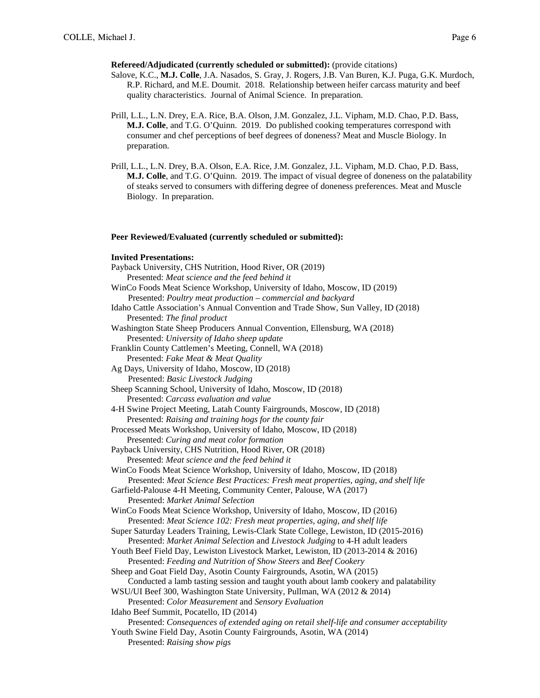### **Refereed/Adjudicated (currently scheduled or submitted):** (provide citations)

- Salove, K.C., **M.J. Colle**, J.A. Nasados, S. Gray, J. Rogers, J.B. Van Buren, K.J. Puga, G.K. Murdoch, R.P. Richard, and M.E. Doumit. 2018. Relationship between heifer carcass maturity and beef quality characteristics. Journal of Animal Science. In preparation.
- Prill, L.L., L.N. Drey, E.A. Rice, B.A. Olson, J.M. Gonzalez, J.L. Vipham, M.D. Chao, P.D. Bass, **M.J. Colle**, and T.G. O'Quinn. 2019. Do published cooking temperatures correspond with consumer and chef perceptions of beef degrees of doneness? Meat and Muscle Biology. In preparation.
- Prill, L.L., L.N. Drey, B.A. Olson, E.A. Rice, J.M. Gonzalez, J.L. Vipham, M.D. Chao, P.D. Bass, **M.J. Colle**, and T.G. O'Quinn. 2019. The impact of visual degree of doneness on the palatability of steaks served to consumers with differing degree of doneness preferences. Meat and Muscle Biology. In preparation.

#### **Peer Reviewed/Evaluated (currently scheduled or submitted):**

#### **Invited Presentations:**

Payback University, CHS Nutrition, Hood River, OR (2019) Presented: *Meat science and the feed behind it* WinCo Foods Meat Science Workshop, University of Idaho, Moscow, ID (2019) Presented: *Poultry meat production – commercial and backyard* Idaho Cattle Association's Annual Convention and Trade Show, Sun Valley, ID (2018) Presented: *The final product*  Washington State Sheep Producers Annual Convention, Ellensburg, WA (2018) Presented: *University of Idaho sheep update* Franklin County Cattlemen's Meeting, Connell, WA (2018) Presented: *Fake Meat & Meat Quality* Ag Days, University of Idaho, Moscow, ID (2018) Presented: *Basic Livestock Judging*  Sheep Scanning School, University of Idaho, Moscow, ID (2018) Presented: *Carcass evaluation and value* 4-H Swine Project Meeting, Latah County Fairgrounds, Moscow, ID (2018) Presented: *Raising and training hogs for the county fair*  Processed Meats Workshop, University of Idaho, Moscow, ID (2018) Presented: *Curing and meat color formation* Payback University, CHS Nutrition, Hood River, OR (2018) Presented: *Meat science and the feed behind it* WinCo Foods Meat Science Workshop, University of Idaho, Moscow, ID (2018) Presented: *Meat Science Best Practices: Fresh meat properties, aging, and shelf life* Garfield-Palouse 4-H Meeting, Community Center, Palouse, WA (2017) Presented: *Market Animal Selection*  WinCo Foods Meat Science Workshop, University of Idaho, Moscow, ID (2016) Presented: *Meat Science 102: Fresh meat properties, aging, and shelf life* Super Saturday Leaders Training, Lewis-Clark State College, Lewiston, ID (2015-2016) Presented: *Market Animal Selection* and *Livestock Judging* to 4-H adult leaders Youth Beef Field Day, Lewiston Livestock Market, Lewiston, ID (2013-2014 & 2016) Presented: *Feeding and Nutrition of Show Steers* and *Beef Cookery*  Sheep and Goat Field Day, Asotin County Fairgrounds, Asotin, WA (2015) Conducted a lamb tasting session and taught youth about lamb cookery and palatability WSU/UI Beef 300, Washington State University, Pullman, WA (2012 & 2014) Presented: *Color Measurement* and *Sensory Evaluation* Idaho Beef Summit, Pocatello, ID (2014) Presented: *Consequences of extended aging on retail shelf-life and consumer acceptability*  Youth Swine Field Day, Asotin County Fairgrounds, Asotin, WA (2014) Presented: *Raising show pigs*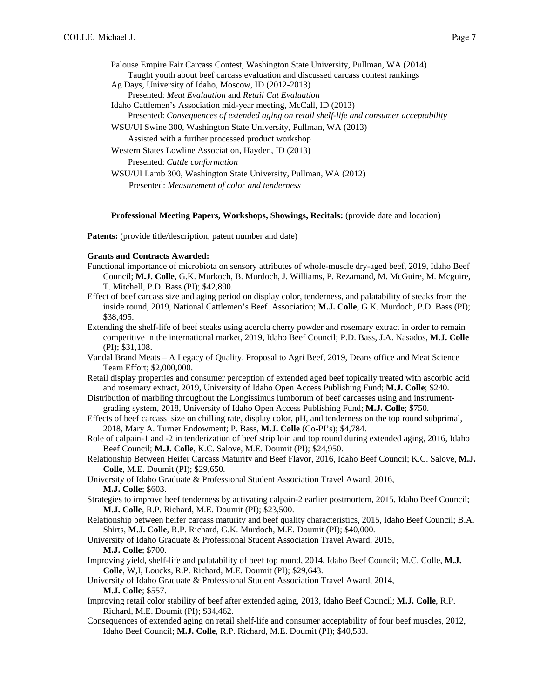|  |  |  |  |  |  | Palouse Empire Fair Carcass Contest, Washington State University, Pullman, WA (2014) |  |
|--|--|--|--|--|--|--------------------------------------------------------------------------------------|--|
|  |  |  |  |  |  | Taught youth about beef carcass evaluation and discussed carcass contest rankings    |  |
|  |  |  |  |  |  |                                                                                      |  |

- Ag Days, University of Idaho, Moscow, ID (2012-2013) Presented: *Meat Evaluation* and *Retail Cut Evaluation*
- Idaho Cattlemen's Association mid-year meeting, McCall, ID (2013)
- Presented: *Consequences of extended aging on retail shelf-life and consumer acceptability*
- WSU/UI Swine 300, Washington State University, Pullman, WA (2013)
	- Assisted with a further processed product workshop

Western States Lowline Association, Hayden, ID (2013) Presented: *Cattle conformation*

WSU/UI Lamb 300, Washington State University, Pullman, WA (2012) Presented: *Measurement of color and tenderness*

### **Professional Meeting Papers, Workshops, Showings, Recitals:** (provide date and location)

**Patents:** (provide title/description, patent number and date)

### **Grants and Contracts Awarded:**

- Functional importance of microbiota on sensory attributes of whole-muscle dry-aged beef, 2019, Idaho Beef Council; **M.J. Colle**, G.K. Murkoch, B. Murdoch, J. Williams, P. Rezamand, M. McGuire, M. Mcguire, T. Mitchell, P.D. Bass (PI); \$42,890.
- Effect of beef carcass size and aging period on display color, tenderness, and palatability of steaks from the inside round, 2019, National Cattlemen's Beef Association; **M.J. Colle**, G.K. Murdoch, P.D. Bass (PI); \$38,495.
- Extending the shelf-life of beef steaks using acerola cherry powder and rosemary extract in order to remain competitive in the international market, 2019, Idaho Beef Council; P.D. Bass, J.A. Nasados, **M.J. Colle** (PI); \$31,108.
- Vandal Brand Meats A Legacy of Quality. Proposal to Agri Beef, 2019, Deans office and Meat Science Team Effort; \$2,000,000.
- Retail display properties and consumer perception of extended aged beef topically treated with ascorbic acid and rosemary extract, 2019, University of Idaho Open Access Publishing Fund; **M.J. Colle**; \$240.
- Distribution of marbling throughout the Longissimus lumborum of beef carcasses using and instrumentgrading system, 2018, University of Idaho Open Access Publishing Fund; **M.J. Colle**; \$750.
- Effects of beef carcass size on chilling rate, display color, pH, and tenderness on the top round subprimal, 2018, Mary A. Turner Endowment; P. Bass, **M.J. Colle** (Co-PI's); \$4,784.
- Role of calpain-1 and -2 in tenderization of beef strip loin and top round during extended aging, 2016, Idaho Beef Council; **M.J. Colle**, K.C. Salove, M.E. Doumit (PI); \$24,950.
- Relationship Between Heifer Carcass Maturity and Beef Flavor, 2016, Idaho Beef Council; K.C. Salove, **M.J. Colle**, M.E. Doumit (PI); \$29,650.
- University of Idaho Graduate & Professional Student Association Travel Award, 2016, **M.J. Colle**; \$603.
- Strategies to improve beef tenderness by activating calpain-2 earlier postmortem, 2015, Idaho Beef Council; **M.J. Colle**, R.P. Richard, M.E. Doumit (PI); \$23,500.
- Relationship between heifer carcass maturity and beef quality characteristics, 2015, Idaho Beef Council; B.A. Shirts, **M.J. Colle**, R.P. Richard, G.K. Murdoch, M.E. Doumit (PI); \$40,000.

University of Idaho Graduate & Professional Student Association Travel Award, 2015, **M.J. Colle**; \$700.

Improving yield, shelf-life and palatability of beef top round, 2014, Idaho Beef Council; M.C. Colle, **M.J. Colle**, W,I, Loucks, R.P. Richard, M.E. Doumit (PI); \$29,643.

University of Idaho Graduate & Professional Student Association Travel Award, 2014, **M.J. Colle**; \$557.

- Improving retail color stability of beef after extended aging, 2013, Idaho Beef Council; **M.J. Colle**, R.P. Richard, M.E. Doumit (PI); \$34,462.
- Consequences of extended aging on retail shelf-life and consumer acceptability of four beef muscles, 2012, Idaho Beef Council; **M.J. Colle**, R.P. Richard, M.E. Doumit (PI); \$40,533.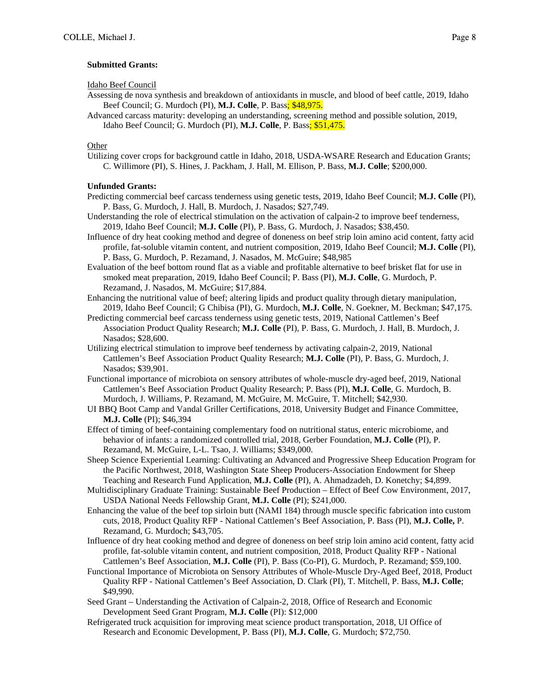### **Submitted Grants:**

Idaho Beef Council

- Assessing de nova synthesis and breakdown of antioxidants in muscle, and blood of beef cattle, 2019, Idaho Beef Council; G. Murdoch (PI), **M.J. Colle**, P. Bass; \$48,975.
- Advanced carcass maturity: developing an understanding, screening method and possible solution, 2019, Idaho Beef Council; G. Murdoch (PI), **M.J. Colle**, P. Bass; \$51,475.

#### Other

Utilizing cover crops for background cattle in Idaho, 2018, USDA-WSARE Research and Education Grants; C. Willimore (PI), S. Hines, J. Packham, J. Hall, M. Ellison, P. Bass, **M.J. Colle**; \$200,000.

## **Unfunded Grants:**

- Predicting commercial beef carcass tenderness using genetic tests, 2019, Idaho Beef Council; **M.J. Colle** (PI), P. Bass, G. Murdoch, J. Hall, B. Murdoch, J. Nasados; \$27,749.
- Understanding the role of electrical stimulation on the activation of calpain-2 to improve beef tenderness, 2019, Idaho Beef Council; **M.J. Colle** (PI), P. Bass, G. Murdoch, J. Nasados; \$38,450.
- Influence of dry heat cooking method and degree of doneness on beef strip loin amino acid content, fatty acid profile, fat-soluble vitamin content, and nutrient composition, 2019, Idaho Beef Council; **M.J. Colle** (PI), P. Bass, G. Murdoch, P. Rezamand, J. Nasados, M. McGuire; \$48,985
- Evaluation of the beef bottom round flat as a viable and profitable alternative to beef brisket flat for use in smoked meat preparation, 2019, Idaho Beef Council; P. Bass (PI), **M.J. Colle**, G. Murdoch, P. Rezamand, J. Nasados, M. McGuire; \$17,884.
- Enhancing the nutritional value of beef; altering lipids and product quality through dietary manipulation, 2019, Idaho Beef Council; G Chibisa (PI), G. Murdoch, **M.J. Colle**, N. Goekner, M. Beckman; \$47,175.
- Predicting commercial beef carcass tenderness using genetic tests, 2019, National Cattlemen's Beef Association Product Quality Research; **M.J. Colle** (PI), P. Bass, G. Murdoch, J. Hall, B. Murdoch, J. Nasados; \$28,600.
- Utilizing electrical stimulation to improve beef tenderness by activating calpain-2, 2019, National Cattlemen's Beef Association Product Quality Research; **M.J. Colle** (PI), P. Bass, G. Murdoch, J. Nasados; \$39,901.
- Functional importance of microbiota on sensory attributes of whole-muscle dry-aged beef, 2019, National Cattlemen's Beef Association Product Quality Research; P. Bass (PI), **M.J. Colle**, G. Murdoch, B. Murdoch, J. Williams, P. Rezamand, M. McGuire, M. McGuire, T. Mitchell; \$42,930.
- UI BBQ Boot Camp and Vandal Griller Certifications, 2018, University Budget and Finance Committee, **M.J. Colle** (PI); \$46,394
- Effect of timing of beef-containing complementary food on nutritional status, enteric microbiome, and behavior of infants: a randomized controlled trial, 2018, Gerber Foundation, **M.J. Colle** (PI), P. Rezamand, M. McGuire, L-L. Tsao, J. Williams; \$349,000.
- Sheep Science Experiential Learning: Cultivating an Advanced and Progressive Sheep Education Program for the Pacific Northwest, 2018, Washington State Sheep Producers-Association Endowment for Sheep Teaching and Research Fund Application, **M.J. Colle** (PI), A. Ahmadzadeh, D. Konetchy; \$4,899.
- Multidisciplinary Graduate Training: Sustainable Beef Production Effect of Beef Cow Environment, 2017, USDA National Needs Fellowship Grant, **M.J. Colle** (PI); \$241,000.
- Enhancing the value of the beef top sirloin butt (NAMI 184) through muscle specific fabrication into custom cuts, 2018, Product Quality RFP - National Cattlemen's Beef Association, P. Bass (PI), **M.J. Colle,** P. Rezamand, G. Murdoch; \$43,705.
- Influence of dry heat cooking method and degree of doneness on beef strip loin amino acid content, fatty acid profile, fat-soluble vitamin content, and nutrient composition, 2018, Product Quality RFP - National Cattlemen's Beef Association, **M.J. Colle** (PI), P. Bass (Co-PI), G. Murdoch, P. Rezamand; \$59,100.
- Functional Importance of Microbiota on Sensory Attributes of Whole-Muscle Dry-Aged Beef, 2018, Product Quality RFP - National Cattlemen's Beef Association, D. Clark (PI), T. Mitchell, P. Bass, **M.J. Colle**; \$49,990.
- Seed Grant Understanding the Activation of Calpain-2, 2018, Office of Research and Economic Development Seed Grant Program, **M.J. Colle** (PI): \$12,000
- Refrigerated truck acquisition for improving meat science product transportation, 2018, UI Office of Research and Economic Development, P. Bass (PI), **M.J. Colle**, G. Murdoch; \$72,750.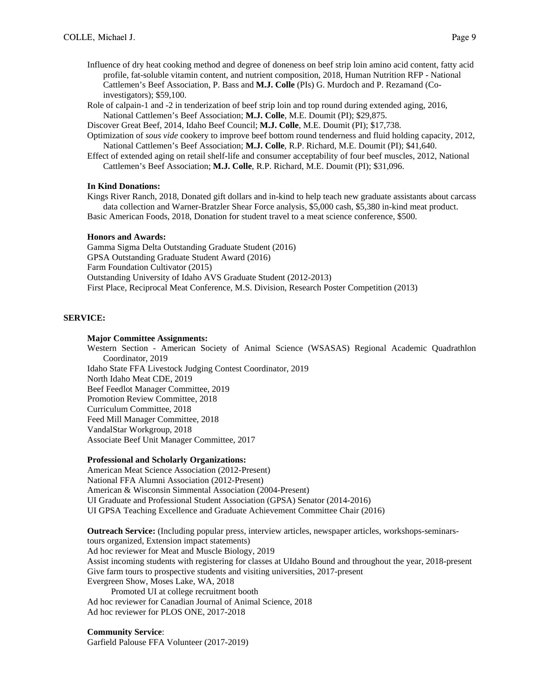Influence of dry heat cooking method and degree of doneness on beef strip loin amino acid content, fatty acid profile, fat-soluble vitamin content, and nutrient composition, 2018, Human Nutrition RFP - National Cattlemen's Beef Association, P. Bass and **M.J. Colle** (PIs) G. Murdoch and P. Rezamand (Coinvestigators); \$59,100.

Role of calpain-1 and -2 in tenderization of beef strip loin and top round during extended aging, 2016, National Cattlemen's Beef Association; **M.J. Colle**, M.E. Doumit (PI); \$29,875.

Discover Great Beef, 2014, Idaho Beef Council; **M.J. Colle**, M.E. Doumit (PI); \$17,738.

Optimization of *sous vide* cookery to improve beef bottom round tenderness and fluid holding capacity, 2012, National Cattlemen's Beef Association; **M.J. Colle**, R.P. Richard, M.E. Doumit (PI); \$41,640.

Effect of extended aging on retail shelf-life and consumer acceptability of four beef muscles, 2012, National Cattlemen's Beef Association; **M.J. Colle**, R.P. Richard, M.E. Doumit (PI); \$31,096.

## **In Kind Donations:**

Kings River Ranch, 2018, Donated gift dollars and in-kind to help teach new graduate assistants about carcass data collection and Warner-Bratzler Shear Force analysis, \$5,000 cash, \$5,380 in-kind meat product. Basic American Foods, 2018, Donation for student travel to a meat science conference, \$500.

### **Honors and Awards:**

Gamma Sigma Delta Outstanding Graduate Student (2016) GPSA Outstanding Graduate Student Award (2016) Farm Foundation Cultivator (2015) Outstanding University of Idaho AVS Graduate Student (2012-2013) First Place, Reciprocal Meat Conference, M.S. Division, Research Poster Competition (2013)

### **SERVICE:**

#### **Major Committee Assignments:**

Western Section - American Society of Animal Science (WSASAS) Regional Academic Quadrathlon Coordinator, 2019 Idaho State FFA Livestock Judging Contest Coordinator, 2019

North Idaho Meat CDE, 2019 Beef Feedlot Manager Committee, 2019 Promotion Review Committee, 2018 Curriculum Committee, 2018 Feed Mill Manager Committee, 2018

VandalStar Workgroup, 2018

Associate Beef Unit Manager Committee, 2017

### **Professional and Scholarly Organizations:**

American Meat Science Association (2012-Present) National FFA Alumni Association (2012-Present) American & Wisconsin Simmental Association (2004-Present) UI Graduate and Professional Student Association (GPSA) Senator (2014-2016) UI GPSA Teaching Excellence and Graduate Achievement Committee Chair (2016)

**Outreach Service:** (Including popular press, interview articles, newspaper articles, workshops-seminarstours organized, Extension impact statements) Ad hoc reviewer for Meat and Muscle Biology, 2019 Assist incoming students with registering for classes at UIdaho Bound and throughout the year, 2018-present Give farm tours to prospective students and visiting universities, 2017-present Evergreen Show, Moses Lake, WA, 2018 Promoted UI at college recruitment booth Ad hoc reviewer for Canadian Journal of Animal Science, 2018

Ad hoc reviewer for PLOS ONE, 2017-2018

**Community Service**: Garfield Palouse FFA Volunteer (2017-2019)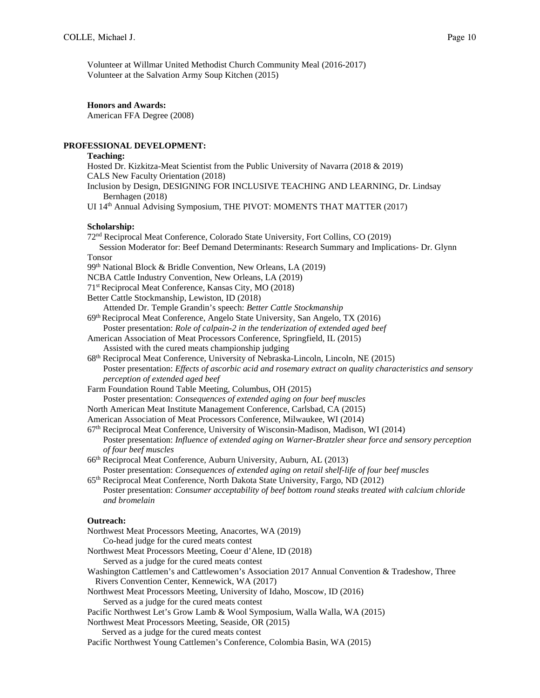Volunteer at Willmar United Methodist Church Community Meal (2016-2017) Volunteer at the Salvation Army Soup Kitchen (2015)

**Honors and Awards:** 

American FFA Degree (2008)

## **PROFESSIONAL DEVELOPMENT:**

 **Teaching:**  Hosted Dr. Kizkitza-Meat Scientist from the Public University of Navarra (2018 & 2019) CALS New Faculty Orientation (2018) Inclusion by Design, DESIGNING FOR INCLUSIVE TEACHING AND LEARNING, Dr. Lindsay Bernhagen (2018) UI 14<sup>th</sup> Annual Advising Symposium, THE PIVOT: MOMENTS THAT MATTER (2017)  **Scholarship:**  72nd Reciprocal Meat Conference, Colorado State University, Fort Collins, CO (2019) Session Moderator for: Beef Demand Determinants: Research Summary and Implications- Dr. Glynn Tonsor 99<sup>th</sup> National Block & Bridle Convention, New Orleans, LA (2019) NCBA Cattle Industry Convention, New Orleans, LA (2019) 71st Reciprocal Meat Conference, Kansas City, MO (2018) Better Cattle Stockmanship, Lewiston, ID (2018) Attended Dr. Temple Grandin's speech: *Better Cattle Stockmanship* 69th Reciprocal Meat Conference, Angelo State University, San Angelo, TX (2016) Poster presentation: *Role of calpain-2 in the tenderization of extended aged beef*  American Association of Meat Processors Conference, Springfield, IL (2015) Assisted with the cured meats championship judging 68th Reciprocal Meat Conference, University of Nebraska-Lincoln, Lincoln, NE (2015) Poster presentation: *Effects of ascorbic acid and rosemary extract on quality characteristics and sensory perception of extended aged beef*  Farm Foundation Round Table Meeting, Columbus, OH (2015) Poster presentation: *Consequences of extended aging on four beef muscles*  North American Meat Institute Management Conference, Carlsbad, CA (2015) American Association of Meat Processors Conference, Milwaukee, WI (2014) 67th Reciprocal Meat Conference, University of Wisconsin-Madison, Madison, WI (2014) Poster presentation: *Influence of extended aging on Warner-Bratzler shear force and sensory perception of four beef muscles* 66th Reciprocal Meat Conference, Auburn University, Auburn, AL (2013) Poster presentation: *Consequences of extended aging on retail shelf-life of four beef muscles* 65th Reciprocal Meat Conference, North Dakota State University, Fargo, ND (2012) Poster presentation: *Consumer acceptability of beef bottom round steaks treated with calcium chloride and bromelain*

## **Outreach:**

Northwest Meat Processors Meeting, Anacortes, WA (2019)

Co-head judge for the cured meats contest

Northwest Meat Processors Meeting, Coeur d'Alene, ID (2018)

Served as a judge for the cured meats contest

Washington Cattlemen's and Cattlewomen's Association 2017 Annual Convention & Tradeshow, Three Rivers Convention Center, Kennewick, WA (2017)

Northwest Meat Processors Meeting, University of Idaho, Moscow, ID (2016)

- Served as a judge for the cured meats contest
- Pacific Northwest Let's Grow Lamb & Wool Symposium, Walla Walla, WA (2015)

Northwest Meat Processors Meeting, Seaside, OR (2015)

Served as a judge for the cured meats contest

Pacific Northwest Young Cattlemen's Conference, Colombia Basin, WA (2015)